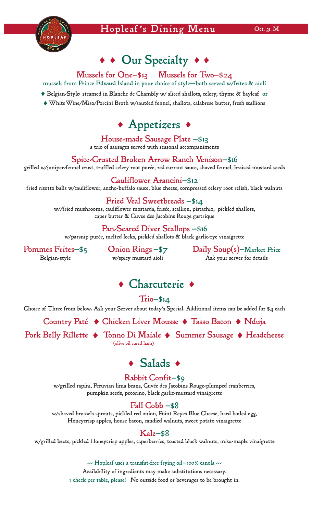

# • • Our Specialty • •

# Mussels for One—\$13 Mussels for Two—\$24

mussels from Prince Edward Island in your choice of style—both served w/frites & aioli

- Belgian-Style: steamed in Blanche de Chambly w/ sliced shallots, celery, thyme & bayleaf or
- WhiteWine/Miso/Porcini Broth w/sautéed fennel, shallots, calabrese butter, fresh scallions



#### House-made Sausage Plate —\$13 a trio of sausages served with seasonal accompaniments

## Spice-Crusted Broken Arrow Ranch Venison—\$16

grilled w/juniper-fennel crust, truffled celery root purée, red currant sauce, shaved fennel, braised mustard seeds

Cauliflower Arancini—\$12 fried risotto balls w/cauliflower, ancho-buffalo sauce, blue cheese, compressed celery root relish, black walnuts

> Fried Veal Sweetbreads —\$14 w//fried mushrooms, cauliflower mostarda, frisée, scallion, pistachio, pickled shallots, caper butter & Cuvee des Jacobins Rouge gastrique

## Pan-Seared Diver Scallops —\$16

w/parsnip purée, melted leeks, pickled shallots & black garlic-rye vinaigrette

 Pommes Frites—\$5 Onion Rings —\$7 Daily Soup(s)—Market Price Belgian-style **W**/spicy mustard aioli Ask your server for details

# • Charcuterie •

 $Trio- $14$ 

Choice of Three from below. Ask your Server about today's Special. Additional items can be added for \$4 each

Country Paté • Chicken Liver Mousse • Tasso Bacon • Nduja

Pork Belly Rillette  $\bullet$  Tonno Di Maiale  $\bullet$  Summer Sausage  $\bullet$  Headcheese

# • Salads •

# Rabbit Confit—\$9

w/grilled rapini, Peruvian lima beans, Cuvée des Jacobins Rouge-plumped cranberries, pumpkin seeds, pecorino, black garlic-mustard vinaigrette

# Fall Cobb —\$8

w/shaved brussels sprouts, pickled red onion, Point Reyes Blue Cheese, hard boiled egg, Honeycrisp apples, house bacon, candied walnuts, sweet potato vinaigrette

### Kale—\$8

w/grilled beets, pickled Honeycrisp apples, caperberries, toasted black walnuts, miso-maple vinaigrette

#### ---- Hopleaf uses a transfat-free frying oil-100% canola

Availability of ingredients may make substitutions necessary. 1 check per table, please! No outside food or beverages to be brought in.